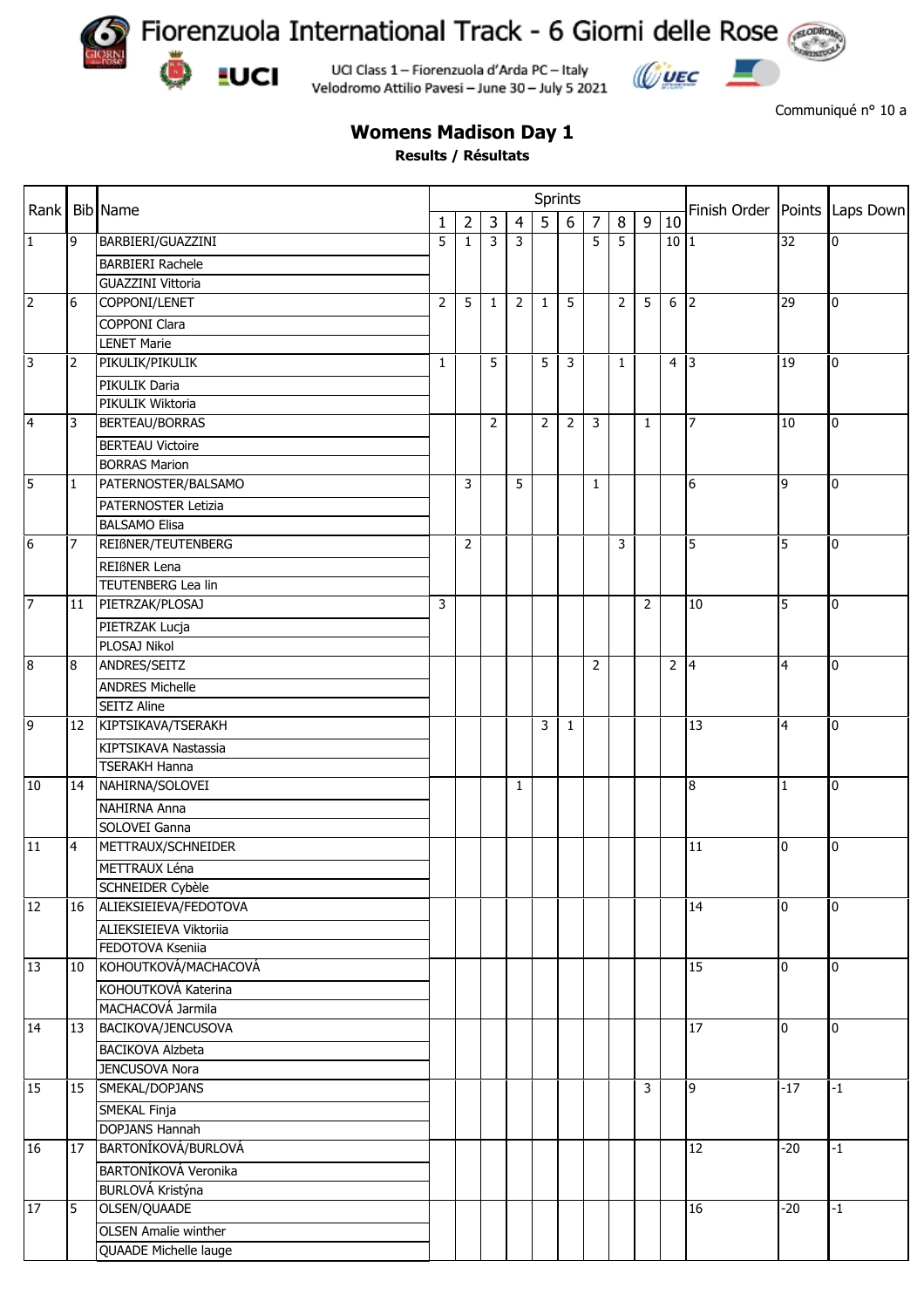

**EUCI** 

Fiorenzuola International Track - 6 Giorni delle Rose

UCI Class 1 - Fiorenzuola d'Arda PC - Italy Velodromo Attilio Pavesi - June 30 - July 5 2021



Communiqué n° 10 a

## **Womens Madison Day 1**

**Results / Résultats**

|                 |                | <b>Bib</b> Name                                  |                | Sprints        |                |                |                |              |                |                |                |                |                 |                 |                  |
|-----------------|----------------|--------------------------------------------------|----------------|----------------|----------------|----------------|----------------|--------------|----------------|----------------|----------------|----------------|-----------------|-----------------|------------------|
| Rank            |                |                                                  | 1              | $\overline{2}$ | $\overline{3}$ | $\overline{4}$ | 5 <sup>1</sup> | 6            | $\overline{7}$ | 8              | 9              | 10             | Finish Order    |                 | Points Laps Down |
| $\mathbf{1}$    | 9              | BARBIERI/GUAZZINI                                | 5              | $\mathbf{1}$   | 3              | 3              |                |              | 5              | 5              |                | 10 1           |                 | $\overline{32}$ | $\mathbf 0$      |
|                 |                | <b>BARBIERI Rachele</b>                          |                |                |                |                |                |              |                |                |                |                |                 |                 |                  |
|                 |                | <b>GUAZZINI Vittoria</b>                         |                |                |                |                |                |              |                |                |                |                |                 |                 |                  |
| $\overline{2}$  | 6              | COPPONI/LENET                                    | $\overline{2}$ | 5              | $\mathbf{1}$   | $\overline{2}$ | 1              | 5            |                | $\overline{2}$ | 5              | 6              | $\overline{2}$  | $\overline{29}$ | 0                |
|                 |                | <b>COPPONI Clara</b>                             |                |                |                |                |                |              |                |                |                |                |                 |                 |                  |
|                 |                | <b>LENET Marie</b>                               |                |                |                |                |                |              |                |                |                |                |                 |                 |                  |
| 3               | $\overline{2}$ | PIKULIK/PIKULIK                                  | $\mathbf{1}$   |                | $5^{\circ}$    |                | 5              | 3            |                | $\mathbf{1}$   |                | 4 3            |                 | 19              | $\overline{0}$   |
|                 |                | PIKULIK Daria                                    |                |                |                |                |                |              |                |                |                |                |                 |                 |                  |
|                 |                | PIKULIK Wiktoria                                 |                |                |                |                |                |              |                |                |                |                |                 |                 |                  |
| $\overline{4}$  | 3              | <b>BERTEAU/BORRAS</b>                            |                |                | 2              |                | $\overline{2}$ | 2            | 3              |                | $\mathbf{1}$   |                | $\overline{7}$  | 10              | $\overline{0}$   |
|                 |                | <b>BERTEAU Victoire</b>                          |                |                |                |                |                |              |                |                |                |                |                 |                 |                  |
|                 |                | <b>BORRAS Marion</b>                             |                |                |                |                |                |              |                |                |                |                |                 |                 |                  |
| 5               | 1              | PATERNOSTER/BALSAMO                              |                | 3              |                | 5              |                |              | $\mathbf{1}$   |                |                |                | 6               | 9               | $\overline{0}$   |
| 6               |                | PATERNOSTER Letizia                              |                |                |                |                |                |              |                |                |                |                |                 |                 |                  |
|                 |                | <b>BALSAMO Elisa</b>                             |                |                |                |                |                |              |                |                |                |                |                 |                 |                  |
|                 | 7              | REIßNER/TEUTENBERG                               |                | 2              |                |                |                |              |                | 3              |                |                | 5               | 5               | $\overline{0}$   |
|                 |                |                                                  |                |                |                |                |                |              |                |                |                |                |                 |                 |                  |
|                 |                | <b>REIBNER Lena</b><br><b>TEUTENBERG Lea lin</b> |                |                |                |                |                |              |                |                |                |                |                 |                 |                  |
|                 |                |                                                  |                |                |                |                |                |              |                |                |                |                | 10              |                 |                  |
| $\overline{7}$  | 11             | PIETRZAK/PLOSAJ                                  | 3              |                |                |                |                |              |                |                | $\overline{2}$ |                |                 | 5               | 0                |
|                 |                | PIETRZAK Lucja                                   |                |                |                |                |                |              |                |                |                |                |                 |                 |                  |
|                 |                | PLOSAJ Nikol                                     |                |                |                |                |                |              |                |                |                |                |                 |                 |                  |
| $\bf{8}$        | 8              | ANDRES/SEITZ                                     |                |                |                |                |                |              | $\overline{2}$ |                |                | $\overline{2}$ | $\vert 4 \vert$ | 4               | 0                |
|                 |                | <b>ANDRES Michelle</b>                           |                |                |                |                |                |              |                |                |                |                |                 |                 |                  |
|                 |                | <b>SEITZ Aline</b>                               |                |                |                |                |                |              |                |                |                |                |                 |                 |                  |
| 9               | 12             | KIPTSIKAVA/TSERAKH                               |                |                |                |                | 3              | $\mathbf{1}$ |                |                |                |                | 13              | 4               | $\overline{0}$   |
|                 |                | KIPTSIKAVA Nastassia                             |                |                |                |                |                |              |                |                |                |                |                 |                 |                  |
|                 |                | <b>TSERAKH Hanna</b>                             |                |                |                |                |                |              |                |                |                |                |                 |                 |                  |
| 10              | 14             | NAHIRNA/SOLOVEI                                  |                |                |                | 1              |                |              |                |                |                |                | 8               | $\mathbf{1}$    | 0                |
|                 |                | NAHIRNA Anna                                     |                |                |                |                |                |              |                |                |                |                |                 |                 |                  |
|                 |                | SOLOVEI Ganna                                    |                |                |                |                |                |              |                |                |                |                |                 |                 |                  |
| $\overline{11}$ | 4              | METTRAUX/SCHNEIDER                               |                |                |                |                |                |              |                |                |                |                | $\overline{11}$ | 0               | $\overline{0}$   |
|                 |                | METTRAUX Léna                                    |                |                |                |                |                |              |                |                |                |                |                 |                 |                  |
|                 |                | SCHNEIDER Cybèle                                 |                |                |                |                |                |              |                |                |                |                |                 |                 |                  |
| 12              | 16             | ALIEKSIEIEVA/FEDOTOVA                            |                |                |                |                |                |              |                |                |                |                | 14              | 0               | $\overline{0}$   |
|                 |                | ALIEKSIEIEVA Viktoriia                           |                |                |                |                |                |              |                |                |                |                |                 |                 |                  |
|                 |                | FEDOTOVA Kseniia                                 |                |                |                |                |                |              |                |                |                |                |                 |                 |                  |
| 13              | 10             | KOHOUTKOVÁ/MACHACOVÁ                             |                |                |                |                |                |              |                |                |                |                | 15              | 0               | 0                |
|                 |                | KOHOUTKOVÁ Katerina                              |                |                |                |                |                |              |                |                |                |                |                 |                 |                  |
|                 |                | MACHACOVÁ Jarmila                                |                |                |                |                |                |              |                |                |                |                |                 |                 |                  |
| 14              |                | 13 BACIKOVA/JENCUSOVA                            |                |                |                |                |                |              |                |                |                |                | 17              | $\pmb{0}$       | $\overline{0}$   |
|                 |                | <b>BACIKOVA Alzbeta</b>                          |                |                |                |                |                |              |                |                |                |                |                 |                 |                  |
|                 |                | JENCUSOVA Nora                                   |                |                |                |                |                |              |                |                |                |                |                 |                 |                  |
| 15              | 15             | SMEKAL/DOPJANS                                   |                |                |                |                |                |              |                |                | 3              |                | 9               | $-17$           | $-1$             |
|                 |                | SMEKAL Finja                                     |                |                |                |                |                |              |                |                |                |                |                 |                 |                  |
|                 |                | <b>DOPJANS Hannah</b>                            |                |                |                |                |                |              |                |                |                |                |                 |                 |                  |
| 16              | 17             | BARTONÍKOVÁ/BURLOVÁ                              |                |                |                |                |                |              |                |                |                |                | 12              | $-20$           | $-1$             |
|                 |                | BARTONÍKOVÁ Veronika                             |                |                |                |                |                |              |                |                |                |                |                 |                 |                  |
|                 |                | BURLOVÁ Kristýna                                 |                |                |                |                |                |              |                |                |                |                |                 |                 |                  |
| 17              | 5              | OLSEN/QUAADE                                     |                |                |                |                |                |              |                |                |                |                | 16              | $-20$           | $-1$             |
|                 |                | <b>OLSEN Amalie winther</b>                      |                |                |                |                |                |              |                |                |                |                |                 |                 |                  |
|                 |                | QUAADE Michelle lauge                            |                |                |                |                |                |              |                |                |                |                |                 |                 |                  |
|                 |                |                                                  |                |                |                |                |                |              |                |                |                |                |                 |                 |                  |